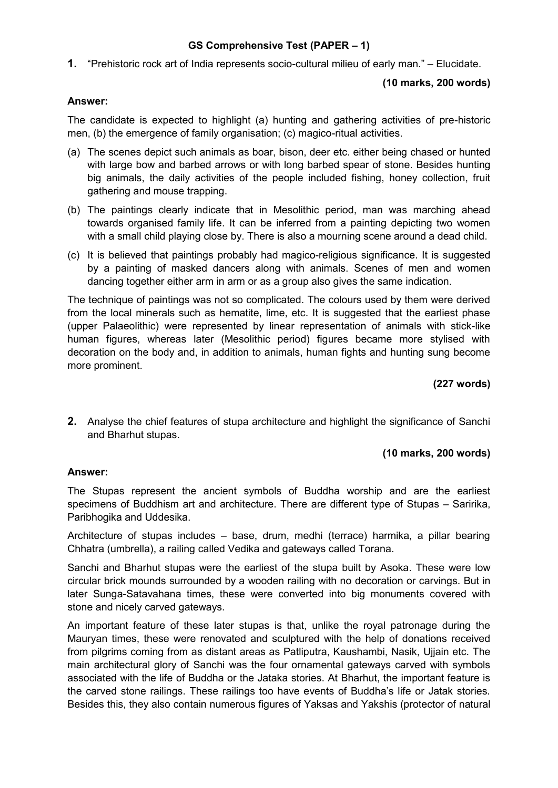# **GS Comprehensive Test (PAPER – 1)**

**1.** "Prehistoric rock art of India represents socio-cultural milieu of early man." – Elucidate.

### **(10 marks, 200 words)**

### **Answer:**

The candidate is expected to highlight (a) hunting and gathering activities of pre-historic men, (b) the emergence of family organisation; (c) magico-ritual activities.

- (a) The scenes depict such animals as boar, bison, deer etc. either being chased or hunted with large bow and barbed arrows or with long barbed spear of stone. Besides hunting big animals, the daily activities of the people included fishing, honey collection, fruit gathering and mouse trapping.
- (b) The paintings clearly indicate that in Mesolithic period, man was marching ahead towards organised family life. It can be inferred from a painting depicting two women with a small child playing close by. There is also a mourning scene around a dead child.
- (c) It is believed that paintings probably had magico-religious significance. It is suggested by a painting of masked dancers along with animals. Scenes of men and women dancing together either arm in arm or as a group also gives the same indication.

The technique of paintings was not so complicated. The colours used by them were derived from the local minerals such as hematite, lime, etc. It is suggested that the earliest phase (upper Palaeolithic) were represented by linear representation of animals with stick-like human figures, whereas later (Mesolithic period) figures became more stylised with decoration on the body and, in addition to animals, human fights and hunting sung become more prominent.

### **(227 words)**

**2.** Analyse the chief features of stupa architecture and highlight the significance of Sanchi and Bharhut stupas.

### **(10 marks, 200 words)**

### **Answer:**

The Stupas represent the ancient symbols of Buddha worship and are the earliest specimens of Buddhism art and architecture. There are different type of Stupas – Saririka, Paribhogika and Uddesika.

Architecture of stupas includes – base, drum, medhi (terrace) harmika, a pillar bearing Chhatra (umbrella), a railing called Vedika and gateways called Torana.

Sanchi and Bharhut stupas were the earliest of the stupa built by Asoka. These were low circular brick mounds surrounded by a wooden railing with no decoration or carvings. But in later Sunga-Satavahana times, these were converted into big monuments covered with stone and nicely carved gateways.

An important feature of these later stupas is that, unlike the royal patronage during the Mauryan times, these were renovated and sculptured with the help of donations received from pilgrims coming from as distant areas as Patliputra, Kaushambi, Nasik, Ujjain etc. The main architectural glory of Sanchi was the four ornamental gateways carved with symbols associated with the life of Buddha or the Jataka stories. At Bharhut, the important feature is the carved stone railings. These railings too have events of Buddha's life or Jatak stories. Besides this, they also contain numerous figures of Yaksas and Yakshis (protector of natural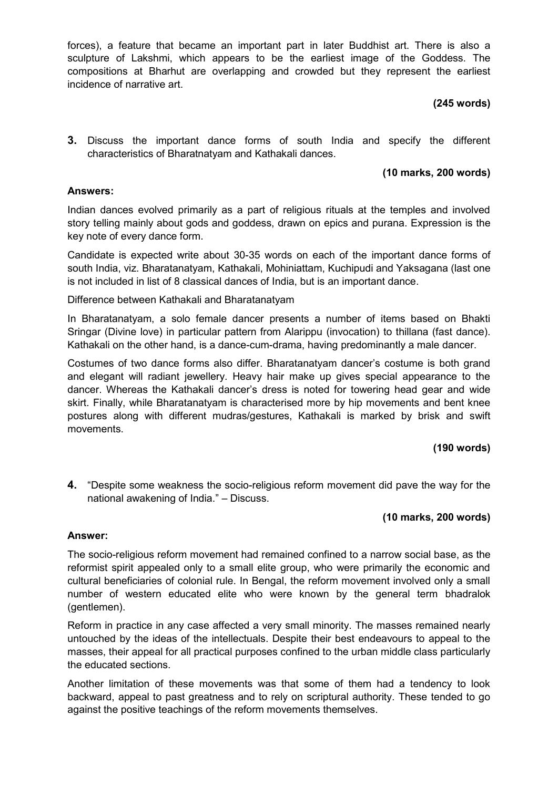forces), a feature that became an important part in later Buddhist art. There is also a sculpture of Lakshmi, which appears to be the earliest image of the Goddess. The compositions at Bharhut are overlapping and crowded but they represent the earliest incidence of narrative art.

# **(245 words)**

**3.** Discuss the important dance forms of south India and specify the different characteristics of Bharatnatyam and Kathakali dances.

## **(10 marks, 200 words)**

### **Answers:**

Indian dances evolved primarily as a part of religious rituals at the temples and involved story telling mainly about gods and goddess, drawn on epics and purana. Expression is the key note of every dance form.

Candidate is expected write about 30-35 words on each of the important dance forms of south India, viz. Bharatanatyam, Kathakali, Mohiniattam, Kuchipudi and Yaksagana (last one is not included in list of 8 classical dances of India, but is an important dance.

Difference between Kathakali and Bharatanatyam

In Bharatanatyam, a solo female dancer presents a number of items based on Bhakti Sringar (Divine love) in particular pattern from Alarippu (invocation) to thillana (fast dance). Kathakali on the other hand, is a dance-cum-drama, having predominantly a male dancer.

Costumes of two dance forms also differ. Bharatanatyam dancer's costume is both grand and elegant will radiant jewellery. Heavy hair make up gives special appearance to the dancer. Whereas the Kathakali dancer's dress is noted for towering head gear and wide skirt. Finally, while Bharatanatyam is characterised more by hip movements and bent knee postures along with different mudras/gestures, Kathakali is marked by brisk and swift movements.

## **(190 words)**

**4.** "Despite some weakness the socio-religious reform movement did pave the way for the national awakening of India." – Discuss.

## **(10 marks, 200 words)**

### **Answer:**

The socio-religious reform movement had remained confined to a narrow social base, as the reformist spirit appealed only to a small elite group, who were primarily the economic and cultural beneficiaries of colonial rule. In Bengal, the reform movement involved only a small number of western educated elite who were known by the general term bhadralok (gentlemen).

Reform in practice in any case affected a very small minority. The masses remained nearly untouched by the ideas of the intellectuals. Despite their best endeavours to appeal to the masses, their appeal for all practical purposes confined to the urban middle class particularly the educated sections.

Another limitation of these movements was that some of them had a tendency to look backward, appeal to past greatness and to rely on scriptural authority. These tended to go against the positive teachings of the reform movements themselves.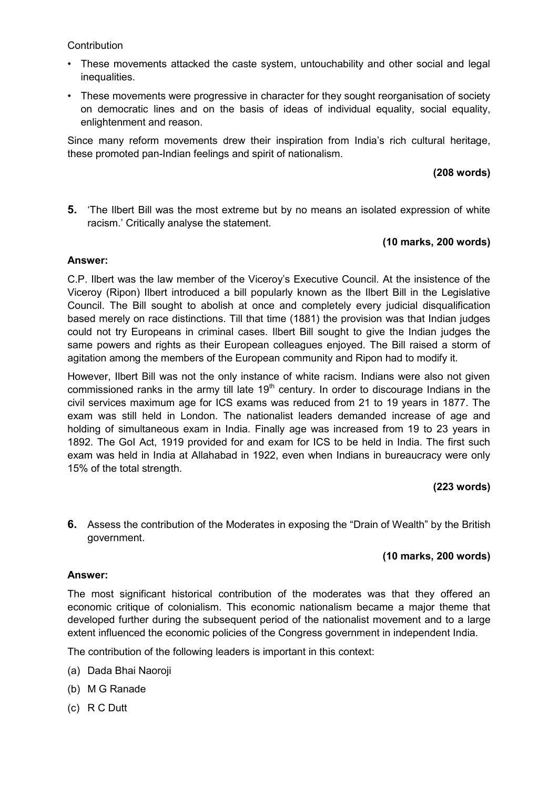**Contribution** 

- These movements attacked the caste system, untouchability and other social and legal inequalities.
- These movements were progressive in character for they sought reorganisation of society on democratic lines and on the basis of ideas of individual equality, social equality, enlightenment and reason.

Since many reform movements drew their inspiration from India's rich cultural heritage, these promoted pan-Indian feelings and spirit of nationalism.

## **(208 words)**

**5.** 'The Ilbert Bill was the most extreme but by no means an isolated expression of white racism.' Critically analyse the statement.

### **(10 marks, 200 words)**

#### **Answer:**

C.P. Ilbert was the law member of the Viceroy's Executive Council. At the insistence of the Viceroy (Ripon) Ilbert introduced a bill popularly known as the Ilbert Bill in the Legislative Council. The Bill sought to abolish at once and completely every judicial disqualification based merely on race distinctions. Till that time (1881) the provision was that Indian judges could not try Europeans in criminal cases. Ilbert Bill sought to give the Indian judges the same powers and rights as their European colleagues enjoyed. The Bill raised a storm of agitation among the members of the European community and Ripon had to modify it.

However, Ilbert Bill was not the only instance of white racism. Indians were also not given commissioned ranks in the army till late  $19<sup>th</sup>$  century. In order to discourage Indians in the civil services maximum age for ICS exams was reduced from 21 to 19 years in 1877. The exam was still held in London. The nationalist leaders demanded increase of age and holding of simultaneous exam in India. Finally age was increased from 19 to 23 years in 1892. The GoI Act, 1919 provided for and exam for ICS to be held in India. The first such exam was held in India at Allahabad in 1922, even when Indians in bureaucracy were only 15% of the total strength.

### **(223 words)**

**6.** Assess the contribution of the Moderates in exposing the "Drain of Wealth" by the British government.

### **(10 marks, 200 words)**

### **Answer:**

The most significant historical contribution of the moderates was that they offered an economic critique of colonialism. This economic nationalism became a major theme that developed further during the subsequent period of the nationalist movement and to a large extent influenced the economic policies of the Congress government in independent India.

The contribution of the following leaders is important in this context:

- (a) Dada Bhai Naoroji
- (b) M G Ranade
- (c) R C Dutt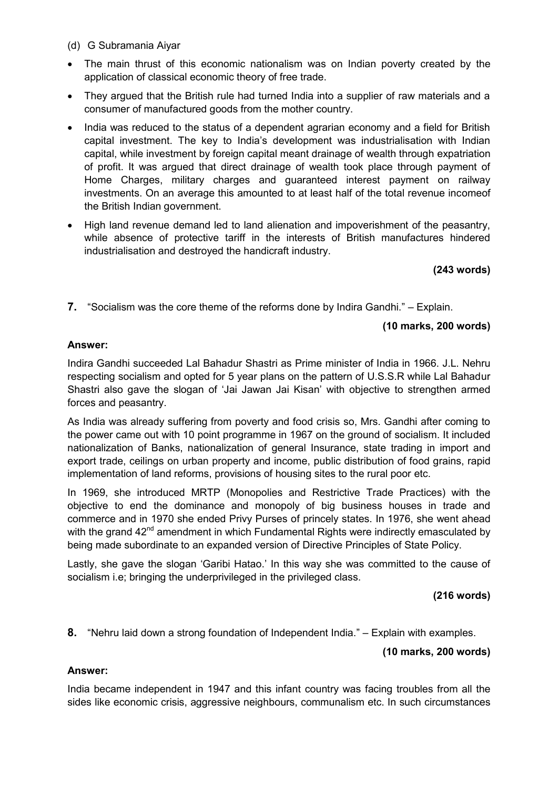- (d) G Subramania Aiyar
- The main thrust of this economic nationalism was on Indian poverty created by the application of classical economic theory of free trade.
- They argued that the British rule had turned India into a supplier of raw materials and a consumer of manufactured goods from the mother country.
- India was reduced to the status of a dependent agrarian economy and a field for British capital investment. The key to India's development was industrialisation with Indian capital, while investment by foreign capital meant drainage of wealth through expatriation of profit. It was argued that direct drainage of wealth took place through payment of Home Charges, military charges and guaranteed interest payment on railway investments. On an average this amounted to at least half of the total revenue incomeof the British Indian government.
- High land revenue demand led to land alienation and impoverishment of the peasantry, while absence of protective tariff in the interests of British manufactures hindered industrialisation and destroyed the handicraft industry.

**(243 words)** 

**7.** "Socialism was the core theme of the reforms done by Indira Gandhi." – Explain.

## **(10 marks, 200 words)**

### **Answer:**

Indira Gandhi succeeded Lal Bahadur Shastri as Prime minister of India in 1966. J.L. Nehru respecting socialism and opted for 5 year plans on the pattern of U.S.S.R while Lal Bahadur Shastri also gave the slogan of 'Jai Jawan Jai Kisan' with objective to strengthen armed forces and peasantry.

As India was already suffering from poverty and food crisis so, Mrs. Gandhi after coming to the power came out with 10 point programme in 1967 on the ground of socialism. It included nationalization of Banks, nationalization of general Insurance, state trading in import and export trade, ceilings on urban property and income, public distribution of food grains, rapid implementation of land reforms, provisions of housing sites to the rural poor etc.

In 1969, she introduced MRTP (Monopolies and Restrictive Trade Practices) with the objective to end the dominance and monopoly of big business houses in trade and commerce and in 1970 she ended Privy Purses of princely states. In 1976, she went ahead with the grand 42<sup>nd</sup> amendment in which Fundamental Rights were indirectly emasculated by being made subordinate to an expanded version of Directive Principles of State Policy.

Lastly, she gave the slogan 'Garibi Hatao.' In this way she was committed to the cause of socialism i.e; bringing the underprivileged in the privileged class.

### **(216 words)**

**8.** "Nehru laid down a strong foundation of Independent India." – Explain with examples.

### **(10 marks, 200 words)**

### **Answer:**

India became independent in 1947 and this infant country was facing troubles from all the sides like economic crisis, aggressive neighbours, communalism etc. In such circumstances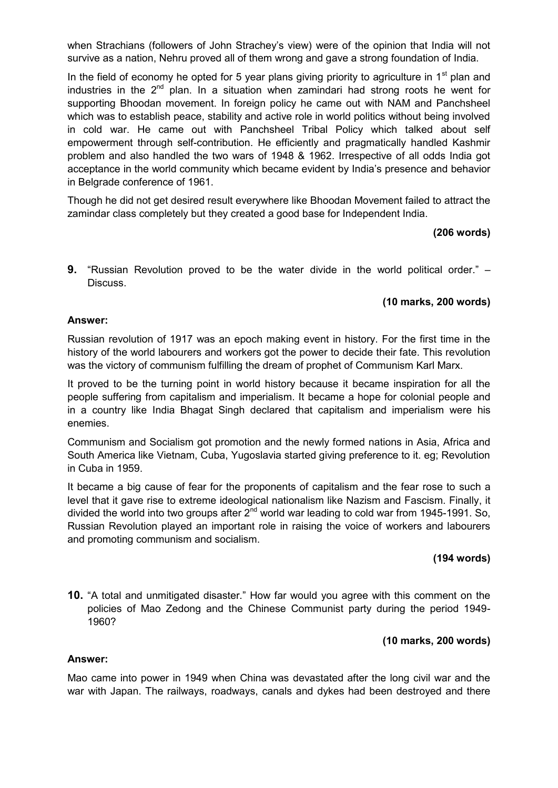when Strachians (followers of John Strachey's view) were of the opinion that India will not survive as a nation, Nehru proved all of them wrong and gave a strong foundation of India.

In the field of economy he opted for 5 year plans giving priority to agriculture in  $1<sup>st</sup>$  plan and industries in the  $2^{nd}$  plan. In a situation when zamindari had strong roots he went for supporting Bhoodan movement. In foreign policy he came out with NAM and Panchsheel which was to establish peace, stability and active role in world politics without being involved in cold war. He came out with Panchsheel Tribal Policy which talked about self empowerment through self-contribution. He efficiently and pragmatically handled Kashmir problem and also handled the two wars of 1948 & 1962. Irrespective of all odds India got acceptance in the world community which became evident by India's presence and behavior in Belgrade conference of 1961.

Though he did not get desired result everywhere like Bhoodan Movement failed to attract the zamindar class completely but they created a good base for Independent India.

### **(206 words)**

**9.** "Russian Revolution proved to be the water divide in the world political order." – Discuss.

### **(10 marks, 200 words)**

### **Answer:**

Russian revolution of 1917 was an epoch making event in history. For the first time in the history of the world labourers and workers got the power to decide their fate. This revolution was the victory of communism fulfilling the dream of prophet of Communism Karl Marx.

It proved to be the turning point in world history because it became inspiration for all the people suffering from capitalism and imperialism. It became a hope for colonial people and in a country like India Bhagat Singh declared that capitalism and imperialism were his enemies.

Communism and Socialism got promotion and the newly formed nations in Asia, Africa and South America like Vietnam, Cuba, Yugoslavia started giving preference to it. eg; Revolution in Cuba in 1959.

It became a big cause of fear for the proponents of capitalism and the fear rose to such a level that it gave rise to extreme ideological nationalism like Nazism and Fascism. Finally, it divided the world into two groups after  $2<sup>nd</sup>$  world war leading to cold war from 1945-1991. So, Russian Revolution played an important role in raising the voice of workers and labourers and promoting communism and socialism.

## **(194 words)**

**10.** "A total and unmitigated disaster." How far would you agree with this comment on the policies of Mao Zedong and the Chinese Communist party during the period 1949- 1960?

### **(10 marks, 200 words)**

#### **Answer:**

Mao came into power in 1949 when China was devastated after the long civil war and the war with Japan. The railways, roadways, canals and dykes had been destroyed and there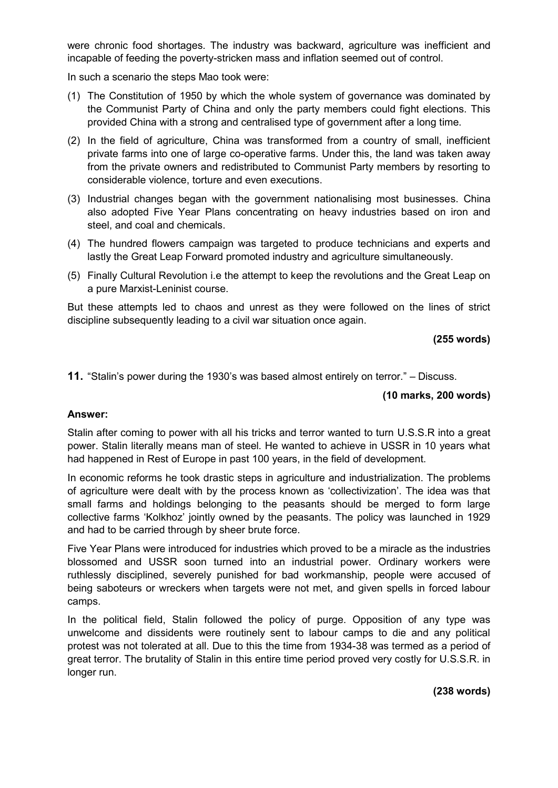were chronic food shortages. The industry was backward, agriculture was inefficient and incapable of feeding the poverty-stricken mass and inflation seemed out of control.

In such a scenario the steps Mao took were:

- (1) The Constitution of 1950 by which the whole system of governance was dominated by the Communist Party of China and only the party members could fight elections. This provided China with a strong and centralised type of government after a long time.
- (2) In the field of agriculture, China was transformed from a country of small, inefficient private farms into one of large co-operative farms. Under this, the land was taken away from the private owners and redistributed to Communist Party members by resorting to considerable violence, torture and even executions.
- (3) Industrial changes began with the government nationalising most businesses. China also adopted Five Year Plans concentrating on heavy industries based on iron and steel, and coal and chemicals.
- (4) The hundred flowers campaign was targeted to produce technicians and experts and lastly the Great Leap Forward promoted industry and agriculture simultaneously.
- (5) Finally Cultural Revolution i.e the attempt to keep the revolutions and the Great Leap on a pure Marxist-Leninist course.

But these attempts led to chaos and unrest as they were followed on the lines of strict discipline subsequently leading to a civil war situation once again.

### **(255 words)**

**11.** "Stalin's power during the 1930's was based almost entirely on terror." – Discuss.

## **(10 marks, 200 words)**

### **Answer:**

Stalin after coming to power with all his tricks and terror wanted to turn U.S.S.R into a great power. Stalin literally means man of steel. He wanted to achieve in USSR in 10 years what had happened in Rest of Europe in past 100 years, in the field of development.

In economic reforms he took drastic steps in agriculture and industrialization. The problems of agriculture were dealt with by the process known as 'collectivization'. The idea was that small farms and holdings belonging to the peasants should be merged to form large collective farms 'Kolkhoz' jointly owned by the peasants. The policy was launched in 1929 and had to be carried through by sheer brute force.

Five Year Plans were introduced for industries which proved to be a miracle as the industries blossomed and USSR soon turned into an industrial power. Ordinary workers were ruthlessly disciplined, severely punished for bad workmanship, people were accused of being saboteurs or wreckers when targets were not met, and given spells in forced labour camps.

In the political field, Stalin followed the policy of purge. Opposition of any type was unwelcome and dissidents were routinely sent to labour camps to die and any political protest was not tolerated at all. Due to this the time from 1934-38 was termed as a period of great terror. The brutality of Stalin in this entire time period proved very costly for U.S.S.R. in longer run.

**(238 words)**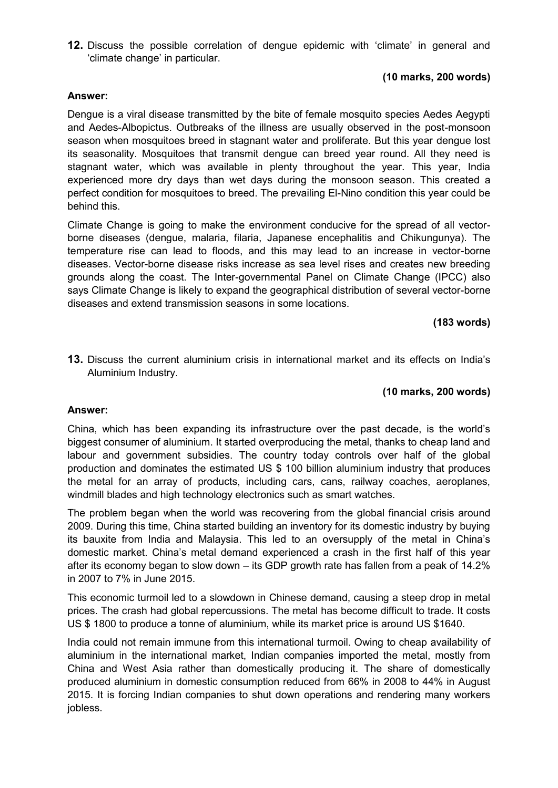**12.** Discuss the possible correlation of dengue epidemic with 'climate' in general and 'climate change' in particular.

## **(10 marks, 200 words)**

### **Answer:**

Dengue is a viral disease transmitted by the bite of female mosquito species Aedes Aegypti and Aedes-Albopictus. Outbreaks of the illness are usually observed in the post-monsoon season when mosquitoes breed in stagnant water and proliferate. But this year dengue lost its seasonality. Mosquitoes that transmit dengue can breed year round. All they need is stagnant water, which was available in plenty throughout the year. This year, India experienced more dry days than wet days during the monsoon season. This created a perfect condition for mosquitoes to breed. The prevailing El-Nino condition this year could be behind this.

Climate Change is going to make the environment conducive for the spread of all vectorborne diseases (dengue, malaria, filaria, Japanese encephalitis and Chikungunya). The temperature rise can lead to floods, and this may lead to an increase in vector-borne diseases. Vector-borne disease risks increase as sea level rises and creates new breeding grounds along the coast. The Inter-governmental Panel on Climate Change (IPCC) also says Climate Change is likely to expand the geographical distribution of several vector-borne diseases and extend transmission seasons in some locations.

#### **(183 words)**

**13.** Discuss the current aluminium crisis in international market and its effects on India's Aluminium Industry.

### **(10 marks, 200 words)**

#### **Answer:**

China, which has been expanding its infrastructure over the past decade, is the world's biggest consumer of aluminium. It started overproducing the metal, thanks to cheap land and labour and government subsidies. The country today controls over half of the global production and dominates the estimated US \$ 100 billion aluminium industry that produces the metal for an array of products, including cars, cans, railway coaches, aeroplanes, windmill blades and high technology electronics such as smart watches.

The problem began when the world was recovering from the global financial crisis around 2009. During this time, China started building an inventory for its domestic industry by buying its bauxite from India and Malaysia. This led to an oversupply of the metal in China's domestic market. China's metal demand experienced a crash in the first half of this year after its economy began to slow down – its GDP growth rate has fallen from a peak of 14.2% in 2007 to 7% in June 2015.

This economic turmoil led to a slowdown in Chinese demand, causing a steep drop in metal prices. The crash had global repercussions. The metal has become difficult to trade. It costs US \$ 1800 to produce a tonne of aluminium, while its market price is around US \$1640.

India could not remain immune from this international turmoil. Owing to cheap availability of aluminium in the international market, Indian companies imported the metal, mostly from China and West Asia rather than domestically producing it. The share of domestically produced aluminium in domestic consumption reduced from 66% in 2008 to 44% in August 2015. It is forcing Indian companies to shut down operations and rendering many workers jobless.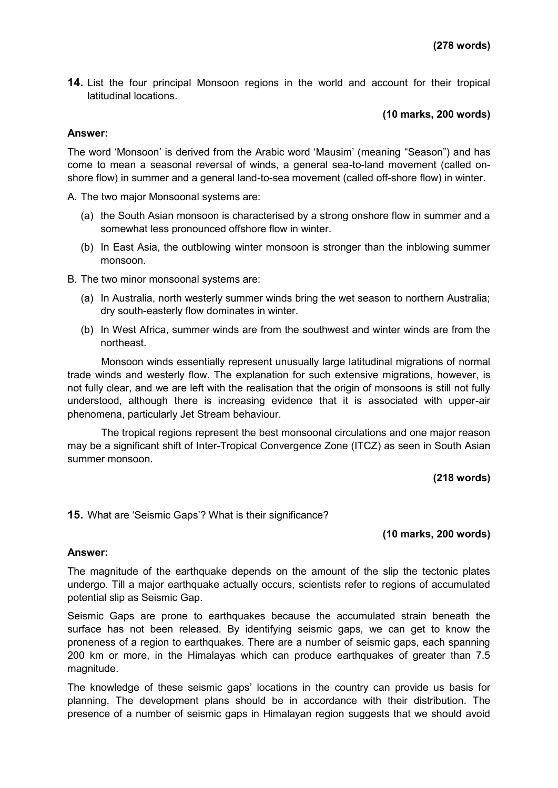**14.** List the four principal Monsoon regions in the world and account for their tropical latitudinal locations.

### **(10 marks, 200 words)**

#### **Answer:**

The word 'Monsoon' is derived from the Arabic word 'Mausim' (meaning "Season") and has come to mean a seasonal reversal of winds, a general sea-to-land movement (called onshore flow) in summer and a general land-to-sea movement (called off-shore flow) in winter.

A. The two major Monsoonal systems are:

- (a) the South Asian monsoon is characterised by a strong onshore flow in summer and a somewhat less pronounced offshore flow in winter.
- (b) In East Asia, the outblowing winter monsoon is stronger than the inblowing summer monsoon.
- B. The two minor monsoonal systems are:
	- (a) In Australia, north westerly summer winds bring the wet season to northern Australia; dry south-easterly flow dominates in winter.
	- (b) In West Africa, summer winds are from the southwest and winter winds are from the northeast.

Monsoon winds essentially represent unusually large latitudinal migrations of normal trade winds and westerly flow. The explanation for such extensive migrations, however, is not fully clear, and we are left with the realisation that the origin of monsoons is still not fully understood, although there is increasing evidence that it is associated with upper-air phenomena, particularly Jet Stream behaviour.

The tropical regions represent the best monsoonal circulations and one major reason may be a significant shift of Inter-Tropical Convergence Zone (ITCZ) as seen in South Asian summer monsoon.

**(218 words)** 

**15.** What are 'Seismic Gaps'? What is their significance?

#### **(10 marks, 200 words)**

#### **Answer:**

The magnitude of the earthquake depends on the amount of the slip the tectonic plates undergo. Till a major earthquake actually occurs, scientists refer to regions of accumulated potential slip as Seismic Gap.

Seismic Gaps are prone to earthquakes because the accumulated strain beneath the surface has not been released. By identifying seismic gaps, we can get to know the proneness of a region to earthquakes. There are a number of seismic gaps, each spanning 200 km or more, in the Himalayas which can produce earthquakes of greater than 7.5 magnitude.

The knowledge of these seismic gaps' locations in the country can provide us basis for planning. The development plans should be in accordance with their distribution. The presence of a number of seismic gaps in Himalayan region suggests that we should avoid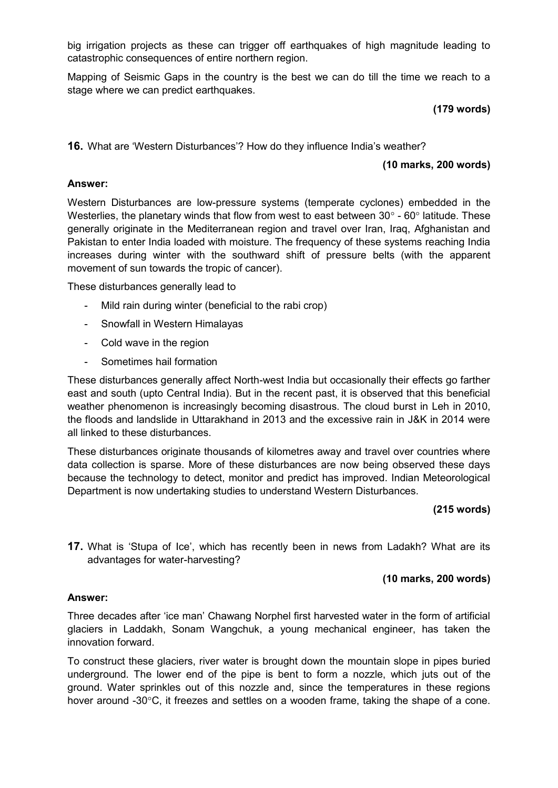big irrigation projects as these can trigger off earthquakes of high magnitude leading to catastrophic consequences of entire northern region.

Mapping of Seismic Gaps in the country is the best we can do till the time we reach to a stage where we can predict earthquakes.

## **(179 words)**

**16.** What are 'Western Disturbances'? How do they influence India's weather?

## **(10 marks, 200 words)**

### **Answer:**

Western Disturbances are low-pressure systems (temperate cyclones) embedded in the Westerlies, the planetary winds that flow from west to east between  $30^{\circ}$  -  $60^{\circ}$  latitude. These generally originate in the Mediterranean region and travel over Iran, Iraq, Afghanistan and Pakistan to enter India loaded with moisture. The frequency of these systems reaching India increases during winter with the southward shift of pressure belts (with the apparent movement of sun towards the tropic of cancer).

These disturbances generally lead to

- Mild rain during winter (beneficial to the rabi crop)
- Snowfall in Western Himalayas
- Cold wave in the region
- Sometimes hail formation

These disturbances generally affect North-west India but occasionally their effects go farther east and south (upto Central India). But in the recent past, it is observed that this beneficial weather phenomenon is increasingly becoming disastrous. The cloud burst in Leh in 2010, the floods and landslide in Uttarakhand in 2013 and the excessive rain in J&K in 2014 were all linked to these disturbances.

These disturbances originate thousands of kilometres away and travel over countries where data collection is sparse. More of these disturbances are now being observed these days because the technology to detect, monitor and predict has improved. Indian Meteorological Department is now undertaking studies to understand Western Disturbances.

### **(215 words)**

**17.** What is 'Stupa of Ice', which has recently been in news from Ladakh? What are its advantages for water-harvesting?

## **(10 marks, 200 words)**

### **Answer:**

Three decades after 'ice man' Chawang Norphel first harvested water in the form of artificial glaciers in Laddakh, Sonam Wangchuk, a young mechanical engineer, has taken the innovation forward.

To construct these glaciers, river water is brought down the mountain slope in pipes buried underground. The lower end of the pipe is bent to form a nozzle, which juts out of the ground. Water sprinkles out of this nozzle and, since the temperatures in these regions hover around -30°C, it freezes and settles on a wooden frame, taking the shape of a cone.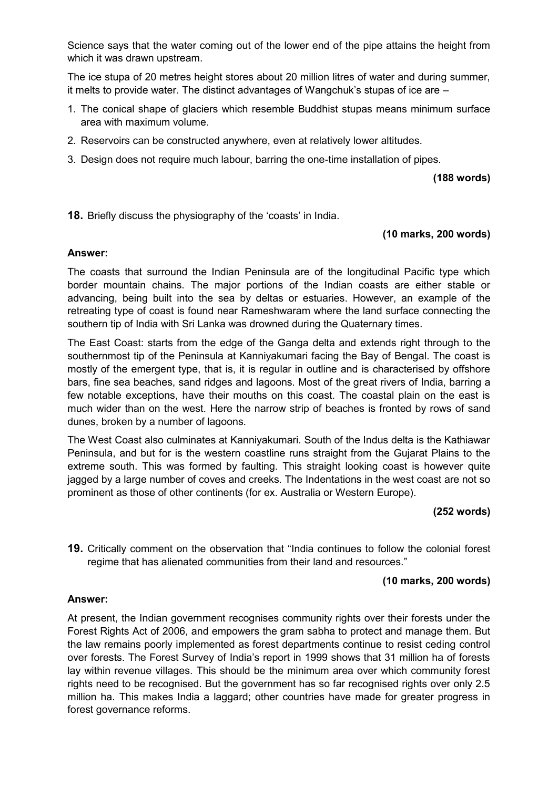Science says that the water coming out of the lower end of the pipe attains the height from which it was drawn upstream.

The ice stupa of 20 metres height stores about 20 million litres of water and during summer, it melts to provide water. The distinct advantages of Wangchuk's stupas of ice are –

- 1. The conical shape of glaciers which resemble Buddhist stupas means minimum surface area with maximum volume.
- 2. Reservoirs can be constructed anywhere, even at relatively lower altitudes.
- 3. Design does not require much labour, barring the one-time installation of pipes.

**(188 words)** 

**18.** Briefly discuss the physiography of the 'coasts' in India.

## **(10 marks, 200 words)**

#### **Answer:**

The coasts that surround the Indian Peninsula are of the longitudinal Pacific type which border mountain chains. The major portions of the Indian coasts are either stable or advancing, being built into the sea by deltas or estuaries. However, an example of the retreating type of coast is found near Rameshwaram where the land surface connecting the southern tip of India with Sri Lanka was drowned during the Quaternary times.

The East Coast: starts from the edge of the Ganga delta and extends right through to the southernmost tip of the Peninsula at Kanniyakumari facing the Bay of Bengal. The coast is mostly of the emergent type, that is, it is regular in outline and is characterised by offshore bars, fine sea beaches, sand ridges and lagoons. Most of the great rivers of India, barring a few notable exceptions, have their mouths on this coast. The coastal plain on the east is much wider than on the west. Here the narrow strip of beaches is fronted by rows of sand dunes, broken by a number of lagoons.

The West Coast also culminates at Kanniyakumari. South of the Indus delta is the Kathiawar Peninsula, and but for is the western coastline runs straight from the Gujarat Plains to the extreme south. This was formed by faulting. This straight looking coast is however quite jagged by a large number of coves and creeks. The Indentations in the west coast are not so prominent as those of other continents (for ex. Australia or Western Europe).

### **(252 words)**

**19.** Critically comment on the observation that "India continues to follow the colonial forest regime that has alienated communities from their land and resources."

### **(10 marks, 200 words)**

### **Answer:**

At present, the Indian government recognises community rights over their forests under the Forest Rights Act of 2006, and empowers the gram sabha to protect and manage them. But the law remains poorly implemented as forest departments continue to resist ceding control over forests. The Forest Survey of India's report in 1999 shows that 31 million ha of forests lay within revenue villages. This should be the minimum area over which community forest rights need to be recognised. But the government has so far recognised rights over only 2.5 million ha. This makes India a laggard; other countries have made for greater progress in forest governance reforms.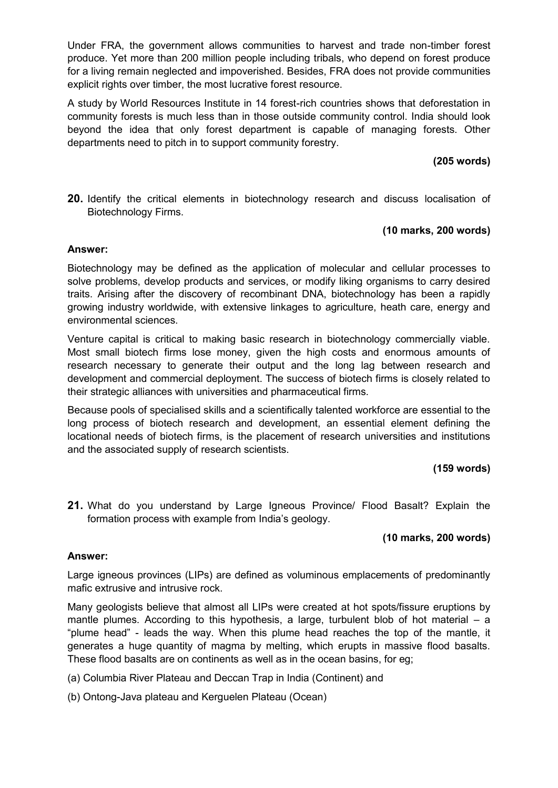Under FRA, the government allows communities to harvest and trade non-timber forest produce. Yet more than 200 million people including tribals, who depend on forest produce for a living remain neglected and impoverished. Besides, FRA does not provide communities explicit rights over timber, the most lucrative forest resource.

A study by World Resources Institute in 14 forest-rich countries shows that deforestation in community forests is much less than in those outside community control. India should look beyond the idea that only forest department is capable of managing forests. Other departments need to pitch in to support community forestry.

## **(205 words)**

**20.** Identify the critical elements in biotechnology research and discuss localisation of Biotechnology Firms.

## **(10 marks, 200 words)**

#### **Answer:**

Biotechnology may be defined as the application of molecular and cellular processes to solve problems, develop products and services, or modify liking organisms to carry desired traits. Arising after the discovery of recombinant DNA, biotechnology has been a rapidly growing industry worldwide, with extensive linkages to agriculture, heath care, energy and environmental sciences.

Venture capital is critical to making basic research in biotechnology commercially viable. Most small biotech firms lose money, given the high costs and enormous amounts of research necessary to generate their output and the long lag between research and development and commercial deployment. The success of biotech firms is closely related to their strategic alliances with universities and pharmaceutical firms.

Because pools of specialised skills and a scientifically talented workforce are essential to the long process of biotech research and development, an essential element defining the locational needs of biotech firms, is the placement of research universities and institutions and the associated supply of research scientists.

## **(159 words)**

**21.** What do you understand by Large Igneous Province/ Flood Basalt? Explain the formation process with example from India's geology.

## **(10 marks, 200 words)**

### **Answer:**

Large igneous provinces (LIPs) are defined as voluminous emplacements of predominantly mafic extrusive and intrusive rock.

Many geologists believe that almost all LIPs were created at hot spots/fissure eruptions by mantle plumes. According to this hypothesis, a large, turbulent blob of hot material  $-$  a "plume head" - leads the way. When this plume head reaches the top of the mantle, it generates a huge quantity of magma by melting, which erupts in massive flood basalts. These flood basalts are on continents as well as in the ocean basins, for eg;

- (a) Columbia River Plateau and Deccan Trap in India (Continent) and
- (b) Ontong-Java plateau and Kerguelen Plateau (Ocean)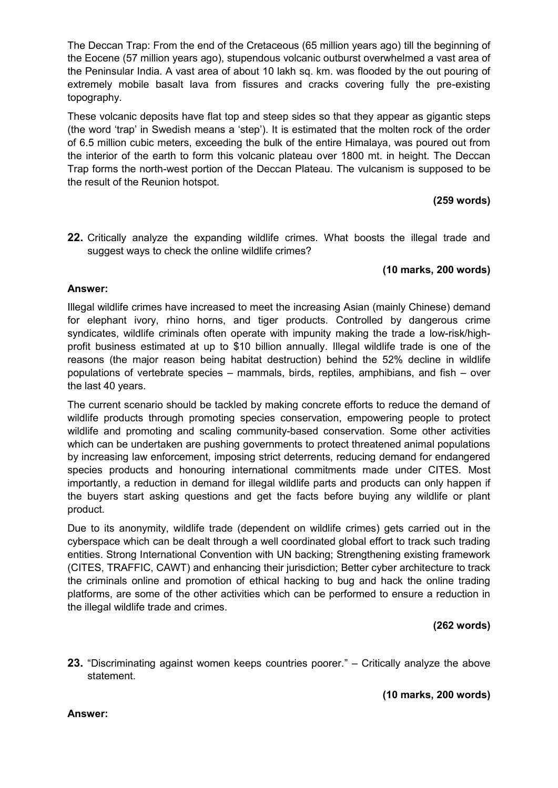The Deccan Trap: From the end of the Cretaceous (65 million years ago) till the beginning of the Eocene (57 million years ago), stupendous volcanic outburst overwhelmed a vast area of the Peninsular India. A vast area of about 10 lakh sq. km. was flooded by the out pouring of extremely mobile basalt lava from fissures and cracks covering fully the pre-existing topography.

These volcanic deposits have flat top and steep sides so that they appear as gigantic steps (the word 'trap' in Swedish means a 'step'). It is estimated that the molten rock of the order of 6.5 million cubic meters, exceeding the bulk of the entire Himalaya, was poured out from the interior of the earth to form this volcanic plateau over 1800 mt. in height. The Deccan Trap forms the north-west portion of the Deccan Plateau. The vulcanism is supposed to be the result of the Reunion hotspot.

# **(259 words)**

**22.** Critically analyze the expanding wildlife crimes. What boosts the illegal trade and suggest ways to check the online wildlife crimes?

# **(10 marks, 200 words)**

### **Answer:**

Illegal wildlife crimes have increased to meet the increasing Asian (mainly Chinese) demand for elephant ivory, rhino horns, and tiger products. Controlled by dangerous crime syndicates, wildlife criminals often operate with impunity making the trade a low-risk/highprofit business estimated at up to \$10 billion annually. Illegal wildlife trade is one of the reasons (the major reason being habitat destruction) behind the 52% decline in wildlife populations of vertebrate species – mammals, birds, reptiles, amphibians, and fish – over the last 40 years.

The current scenario should be tackled by making concrete efforts to reduce the demand of wildlife products through promoting species conservation, empowering people to protect wildlife and promoting and scaling community-based conservation. Some other activities which can be undertaken are pushing governments to protect threatened animal populations by increasing law enforcement, imposing strict deterrents, reducing demand for endangered species products and honouring international commitments made under CITES. Most importantly, a reduction in demand for illegal wildlife parts and products can only happen if the buyers start asking questions and get the facts before buying any wildlife or plant product.

Due to its anonymity, wildlife trade (dependent on wildlife crimes) gets carried out in the cyberspace which can be dealt through a well coordinated global effort to track such trading entities. Strong International Convention with UN backing; Strengthening existing framework (CITES, TRAFFIC, CAWT) and enhancing their jurisdiction; Better cyber architecture to track the criminals online and promotion of ethical hacking to bug and hack the online trading platforms, are some of the other activities which can be performed to ensure a reduction in the illegal wildlife trade and crimes.

# **(262 words)**

**23.** "Discriminating against women keeps countries poorer." – Critically analyze the above statement.

**(10 marks, 200 words)** 

**Answer:**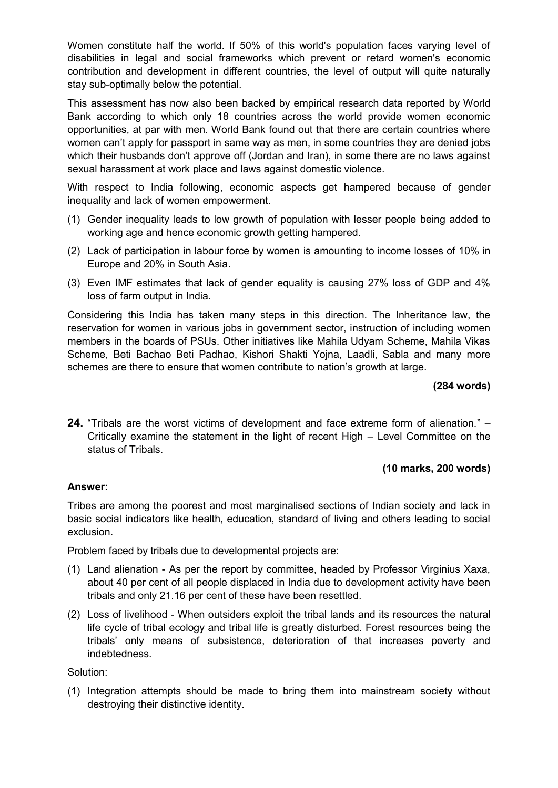Women constitute half the world. If 50% of this world's population faces varying level of disabilities in legal and social frameworks which prevent or retard women's economic contribution and development in different countries, the level of output will quite naturally stay sub-optimally below the potential.

This assessment has now also been backed by empirical research data reported by World Bank according to which only 18 countries across the world provide women economic opportunities, at par with men. World Bank found out that there are certain countries where women can't apply for passport in same way as men, in some countries they are denied jobs which their husbands don't approve off (Jordan and Iran), in some there are no laws against sexual harassment at work place and laws against domestic violence.

With respect to India following, economic aspects get hampered because of gender inequality and lack of women empowerment.

- (1) Gender inequality leads to low growth of population with lesser people being added to working age and hence economic growth getting hampered.
- (2) Lack of participation in labour force by women is amounting to income losses of 10% in Europe and 20% in South Asia.
- (3) Even IMF estimates that lack of gender equality is causing 27% loss of GDP and 4% loss of farm output in India.

Considering this India has taken many steps in this direction. The Inheritance law, the reservation for women in various jobs in government sector, instruction of including women members in the boards of PSUs. Other initiatives like Mahila Udyam Scheme, Mahila Vikas Scheme, Beti Bachao Beti Padhao, Kishori Shakti Yojna, Laadli, Sabla and many more schemes are there to ensure that women contribute to nation's growth at large.

### **(284 words)**

**24.** "Tribals are the worst victims of development and face extreme form of alienation." – Critically examine the statement in the light of recent High – Level Committee on the status of Tribals.

### **(10 marks, 200 words)**

### **Answer:**

Tribes are among the poorest and most marginalised sections of Indian society and lack in basic social indicators like health, education, standard of living and others leading to social exclusion.

Problem faced by tribals due to developmental projects are:

- (1) Land alienation As per the report by committee, headed by Professor Virginius Xaxa, about 40 per cent of all people displaced in India due to development activity have been tribals and only 21.16 per cent of these have been resettled.
- (2) Loss of livelihood When outsiders exploit the tribal lands and its resources the natural life cycle of tribal ecology and tribal life is greatly disturbed. Forest resources being the tribals' only means of subsistence, deterioration of that increases poverty and indebtedness.

Solution:

(1) Integration attempts should be made to bring them into mainstream society without destroying their distinctive identity.